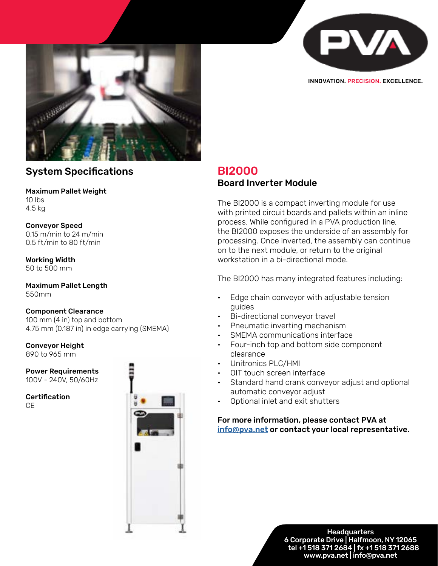



INNOVATION. PRECISION. EXCELLENCE.

## System Specifications

#### Maximum Pallet Weight 10 lbs 4.5 kg

### Conveyor Speed

0.15 m/min to 24 m/min 0.5 ft/min to 80 ft/min

Working Width 50 to 500 mm

Maximum Pallet Length 550mm

### Component Clearance

100 mm (4 in) top and bottom 4.75 mm (0.187 in) in edge carrying (SMEMA)

# Conveyor Height

890 to 965 mm

Power Requirements 100V - 240V, 50/60Hz

**Certification CE** 



## BI2000 Board Inverter Module

The BI2000 is a compact inverting module for use with printed circuit boards and pallets within an inline process. While configured in a PVA production line, the BI2000 exposes the underside of an assembly for processing. Once inverted, the assembly can continue on to the next module, or return to the original workstation in a bi-directional mode.

The BI2000 has many integrated features including:

- Edge chain conveyor with adjustable tension guides
- Bi-directional conveyor travel
- Pneumatic inverting mechanism
- SMEMA communications interface
- Four-inch top and bottom side component clearance
- Unitronics PLC/HMI
- OIT touch screen interface
- Standard hand crank conveyor adjust and optional automatic conveyor adjust
- Optional inlet and exit shutters

### For more information, please contact PVA at [info@pva.net](http://info@pva.net) or contact your local representative.

o Corporate Drive | Halfmoon, tel +1 518 371 2684 | fx +1 518 371 | **Headquarters** 6 Corporate Drive | Halfmoon, NY 12065 tel +1 518 371 2684 | fx +1 518 371 2688 www.pva.net | info@pva.net